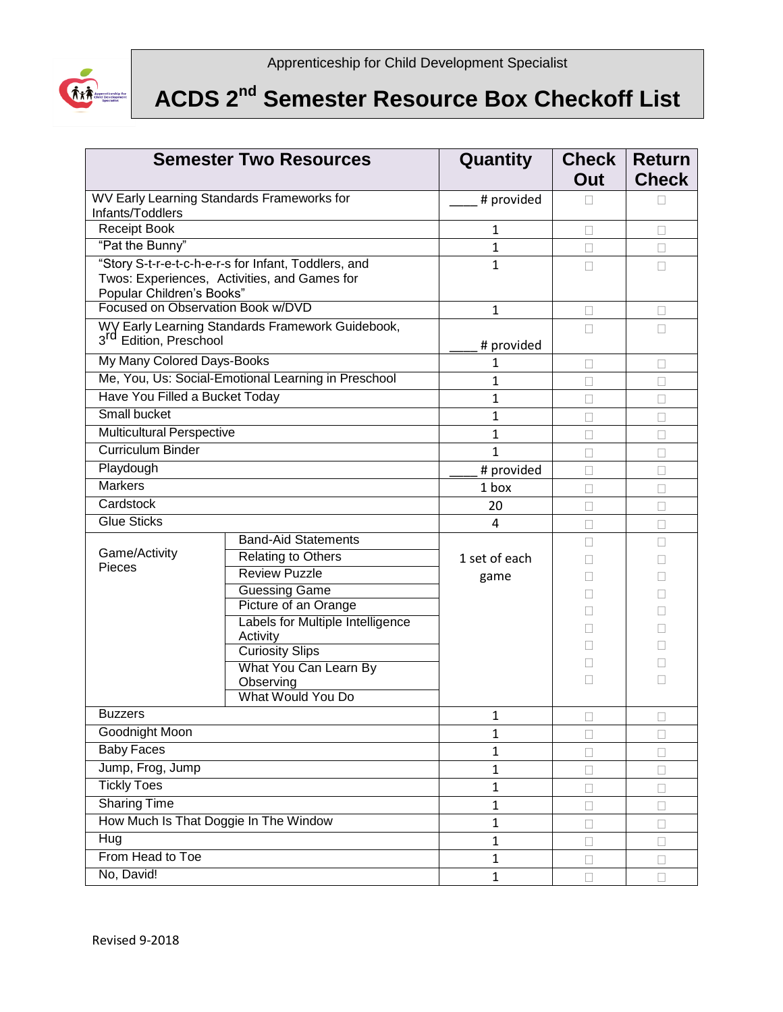

## **ACDS 2nd Semester Resource Box Checkoff List**

| <b>Semester Two Resources</b>                                                                                                     |                                                                | Quantity       | <b>Check</b><br>Out | <b>Return</b><br><b>Check</b> |
|-----------------------------------------------------------------------------------------------------------------------------------|----------------------------------------------------------------|----------------|---------------------|-------------------------------|
| WV Early Learning Standards Frameworks for<br>Infants/Toddlers                                                                    |                                                                | # provided     |                     |                               |
| Receipt Book                                                                                                                      |                                                                | 1              | П                   | П                             |
| "Pat the Bunny"                                                                                                                   |                                                                | 1              | П                   | $\Box$                        |
| "Story S-t-r-e-t-c-h-e-r-s for Infant, Toddlers, and<br>Twos: Experiences, Activities, and Games for<br>Popular Children's Books" |                                                                | $\mathbf{1}$   | П                   | П                             |
| Focused on Observation Book w/DVD                                                                                                 |                                                                | 1              | П                   |                               |
| WY Early Learning Standards Framework Guidebook,<br>3 <sup>rd</sup> Edition, Preschool                                            |                                                                | # provided     | П                   | П                             |
| My Many Colored Days-Books                                                                                                        |                                                                | 1              | $\Box$              | $\Box$                        |
|                                                                                                                                   | Me, You, Us: Social-Emotional Learning in Preschool            | 1              | $\Box$              | П                             |
| Have You Filled a Bucket Today                                                                                                    |                                                                | $\mathbf 1$    | П                   | $\Box$                        |
| Small bucket                                                                                                                      |                                                                | $\mathbf{1}$   | П                   | $\Box$                        |
| <b>Multicultural Perspective</b>                                                                                                  |                                                                | 1              |                     | $\Box$                        |
| <b>Curriculum Binder</b>                                                                                                          |                                                                | $\overline{1}$ | П                   | $\Box$                        |
| Playdough                                                                                                                         |                                                                | # provided     | $\Box$              | $\Box$                        |
| <b>Markers</b>                                                                                                                    |                                                                | 1 box          | П                   | П                             |
| Cardstock                                                                                                                         |                                                                | 20             | П                   | $\Box$                        |
| <b>Glue Sticks</b>                                                                                                                |                                                                | 4              | П                   | $\Box$                        |
|                                                                                                                                   | <b>Band-Aid Statements</b>                                     |                | п                   | п                             |
| Game/Activity<br>Pieces                                                                                                           | Relating to Others                                             | 1 set of each  |                     |                               |
|                                                                                                                                   | <b>Review Puzzle</b>                                           | game           |                     |                               |
|                                                                                                                                   | <b>Guessing Game</b>                                           |                | П                   |                               |
|                                                                                                                                   | Picture of an Orange                                           |                |                     |                               |
|                                                                                                                                   | Labels for Multiple Intelligence<br>Activity                   |                |                     |                               |
|                                                                                                                                   | <b>Curiosity Slips</b>                                         |                | п                   |                               |
|                                                                                                                                   | What You Can Learn By<br>Observing<br><b>What Would You Do</b> |                | П                   |                               |
| <b>Buzzers</b>                                                                                                                    |                                                                |                |                     |                               |
| Goodnight Moon                                                                                                                    |                                                                | 1              | $\Box$              | $\Box$                        |
| <b>Baby Faces</b>                                                                                                                 |                                                                | 1              | $\Box$              | $\Box$                        |
| Jump, Frog, Jump                                                                                                                  |                                                                | $\mathbf 1$    | □                   | □                             |
| <b>Tickly Toes</b>                                                                                                                |                                                                | $\mathbf{1}$   | □                   | $\Box$                        |
| <b>Sharing Time</b>                                                                                                               |                                                                | 1              | $\Box$              | $\Box$                        |
| How Much Is That Doggie In The Window                                                                                             |                                                                | $\mathbf{1}$   | $\Box$              | □                             |
| Hug                                                                                                                               |                                                                | 1              | П                   | $\Box$                        |
| From Head to Toe                                                                                                                  |                                                                | 1              | П                   | $\Box$                        |
| No, David!                                                                                                                        |                                                                | $\mathbf{1}$   | $\Box$              | $\Box$                        |
|                                                                                                                                   |                                                                | $\mathbf 1$    | $\Box$              | $\Box$                        |